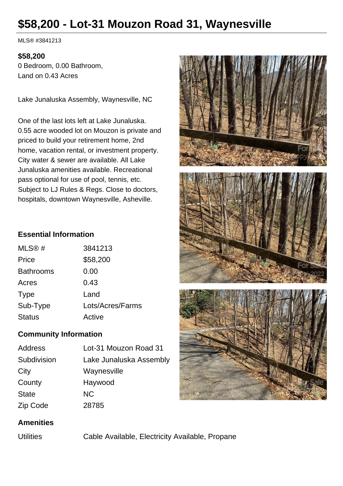# **\$58,200 - Lot-31 Mouzon Road 31, Waynesville**

MLS® #3841213

#### **\$58,200**

0 Bedroom, 0.00 Bathroom, Land on 0.43 Acres

Lake Junaluska Assembly, Waynesville, NC

One of the last lots left at Lake Junaluska. 0.55 acre wooded lot on Mouzon is private and priced to build your retirement home, 2nd home, vacation rental, or investment property. City water & sewer are available. All Lake Junaluska amenities available. Recreational pass optional for use of pool, tennis, etc. Subject to LJ Rules & Regs. Close to doctors, hospitals, downtown Waynesville, Asheville.



## **Essential Information**

| MLS@#            | 3841213          |
|------------------|------------------|
| Price            | \$58,200         |
| <b>Bathrooms</b> | 0.00             |
| Acres            | 0.43             |
| <b>Type</b>      | Land             |
| Sub-Type         | Lots/Acres/Farms |
| <b>Status</b>    | Active           |

## **Community Information**

| Address     | Lot-31 Mouzon Road 31   |
|-------------|-------------------------|
| Subdivision | Lake Junaluska Assembly |
| City        | Waynesville             |
| County      | Haywood                 |
| State       | <b>NC</b>               |
| Zip Code    | 28785                   |
|             |                         |

## **Amenities**

Utilities Cable Available, Electricity Available, Propane